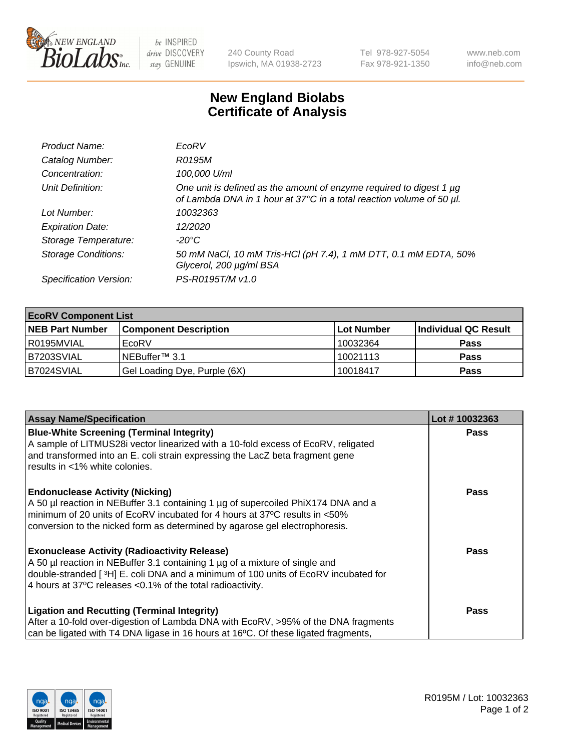

be INSPIRED drive DISCOVERY stay GENUINE

240 County Road Ipswich, MA 01938-2723 Tel 978-927-5054 Fax 978-921-1350 www.neb.com info@neb.com

## **New England Biolabs Certificate of Analysis**

| Product Name:              | EcoRV                                                                                                                                       |
|----------------------------|---------------------------------------------------------------------------------------------------------------------------------------------|
| Catalog Number:            | R0195M                                                                                                                                      |
| Concentration:             | 100,000 U/ml                                                                                                                                |
| Unit Definition:           | One unit is defined as the amount of enzyme required to digest 1 µg<br>of Lambda DNA in 1 hour at 37°C in a total reaction volume of 50 µl. |
| Lot Number:                | 10032363                                                                                                                                    |
| <b>Expiration Date:</b>    | 12/2020                                                                                                                                     |
| Storage Temperature:       | $-20^{\circ}$ C                                                                                                                             |
| <b>Storage Conditions:</b> | 50 mM NaCl, 10 mM Tris-HCl (pH 7.4), 1 mM DTT, 0.1 mM EDTA, 50%<br>Glycerol, 200 µg/ml BSA                                                  |
| Specification Version:     | PS-R0195T/M v1.0                                                                                                                            |

| <b>EcoRV Component List</b> |                              |            |                      |  |  |
|-----------------------------|------------------------------|------------|----------------------|--|--|
| <b>NEB Part Number</b>      | <b>Component Description</b> | Lot Number | Individual QC Result |  |  |
| R0195MVIAL                  | EcoRV                        | 10032364   | <b>Pass</b>          |  |  |
| B7203SVIAL                  | INEBuffer™ 3.1               | 10021113   | <b>Pass</b>          |  |  |
| B7024SVIAL                  | Gel Loading Dye, Purple (6X) | 10018417   | <b>Pass</b>          |  |  |

| <b>Assay Name/Specification</b>                                                                                 | Lot #10032363 |
|-----------------------------------------------------------------------------------------------------------------|---------------|
| <b>Blue-White Screening (Terminal Integrity)</b>                                                                | <b>Pass</b>   |
| A sample of LITMUS28i vector linearized with a 10-fold excess of EcoRV, religated                               |               |
| and transformed into an E. coli strain expressing the LacZ beta fragment gene<br>results in <1% white colonies. |               |
|                                                                                                                 |               |
| <b>Endonuclease Activity (Nicking)</b>                                                                          | Pass          |
| A 50 µl reaction in NEBuffer 3.1 containing 1 µg of supercoiled PhiX174 DNA and a                               |               |
| minimum of 20 units of EcoRV incubated for 4 hours at 37°C results in <50%                                      |               |
| conversion to the nicked form as determined by agarose gel electrophoresis.                                     |               |
| <b>Exonuclease Activity (Radioactivity Release)</b>                                                             | Pass          |
| A 50 µl reaction in NEBuffer 3.1 containing 1 µg of a mixture of single and                                     |               |
| double-stranded [ <sup>3</sup> H] E. coli DNA and a minimum of 100 units of EcoRV incubated for                 |               |
| 4 hours at 37°C releases < 0.1% of the total radioactivity.                                                     |               |
| <b>Ligation and Recutting (Terminal Integrity)</b>                                                              | <b>Pass</b>   |
| After a 10-fold over-digestion of Lambda DNA with EcoRV, >95% of the DNA fragments                              |               |
| can be ligated with T4 DNA ligase in 16 hours at 16 $\degree$ C. Of these ligated fragments,                    |               |